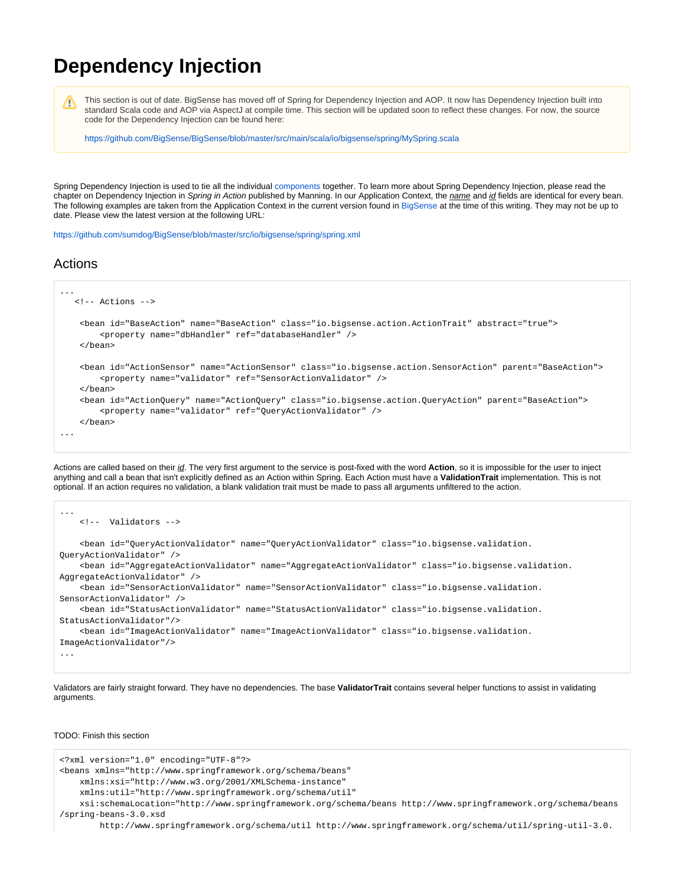## **Dependency Injection**

灬

This section is out of date. BigSense has moved off of Spring for Dependency Injection and AOP. It now has Dependency Injection built into standard Scala code and AOP via AspectJ at compile time. This section will be updated soon to reflect these changes. For now, the source code for the Dependency Injection can be found here:

<https://github.com/BigSense/BigSense/blob/master/src/main/scala/io/bigsense/spring/MySpring.scala>

Spring Dependency Injection is used to tie all the individual [components](https://bigsense.io/display/sense/Components) together. To learn more about Spring Dependency Injection, please read the chapter on Dependency Injection in Spring in Action published by Manning. In our Application Context, the name and id fields are identical for every bean. The following examples are taken from the Application Context in the current version found in [BigSense](https://bigsense.io/display/sense/BigSense) at the time of this writing. They may not be up to date. Please view the latest version at the following URL:

<https://github.com/sumdog/BigSense/blob/master/src/io/bigsense/spring/spring.xml>

## Actions

```
...
   <!-- Actions -->
    <bean id="BaseAction" name="BaseAction" class="io.bigsense.action.ActionTrait" abstract="true">
        <property name="dbHandler" ref="databaseHandler" />
    </bean>
    <bean id="ActionSensor" name="ActionSensor" class="io.bigsense.action.SensorAction" parent="BaseAction">
        <property name="validator" ref="SensorActionValidator" /> 
    </bean>
    <bean id="ActionQuery" name="ActionQuery" class="io.bigsense.action.QueryAction" parent="BaseAction">
        <property name="validator" ref="QueryActionValidator" />
    </bean>
...
```
Actions are called based on their id. The very first argument to the service is post-fixed with the word Action, so it is impossible for the user to inject anything and call a bean that isn't explicitly defined as an Action within Spring. Each Action must have a **ValidationTrait** implementation. This is not optional. If an action requires no validation, a blank validation trait must be made to pass all arguments unfiltered to the action.

```
...
     <!-- Validators -->
    <bean id="QueryActionValidator" name="QueryActionValidator" class="io.bigsense.validation.
QueryActionValidator" />
     <bean id="AggregateActionValidator" name="AggregateActionValidator" class="io.bigsense.validation.
AggregateActionValidator" />
    <bean id="SensorActionValidator" name="SensorActionValidator" class="io.bigsense.validation.
SensorActionValidator" />
    <bean id="StatusActionValidator" name="StatusActionValidator" class="io.bigsense.validation.
StatusActionValidator"/>
     <bean id="ImageActionValidator" name="ImageActionValidator" class="io.bigsense.validation.
ImageActionValidator"/>
...
```
Validators are fairly straight forward. They have no dependencies. The base **ValidatorTrait** contains several helper functions to assist in validating arguments.

## TODO: Finish this section

```
<?xml version="1.0" encoding="UTF-8"?>
<beans xmlns="http://www.springframework.org/schema/beans"
    xmlns:xsi="http://www.w3.org/2001/XMLSchema-instance"
    xmlns:util="http://www.springframework.org/schema/util"
    xsi:schemaLocation="http://www.springframework.org/schema/beans http://www.springframework.org/schema/beans
/spring-beans-3.0.xsd
        http://www.springframework.org/schema/util http://www.springframework.org/schema/util/spring-util-3.0.
```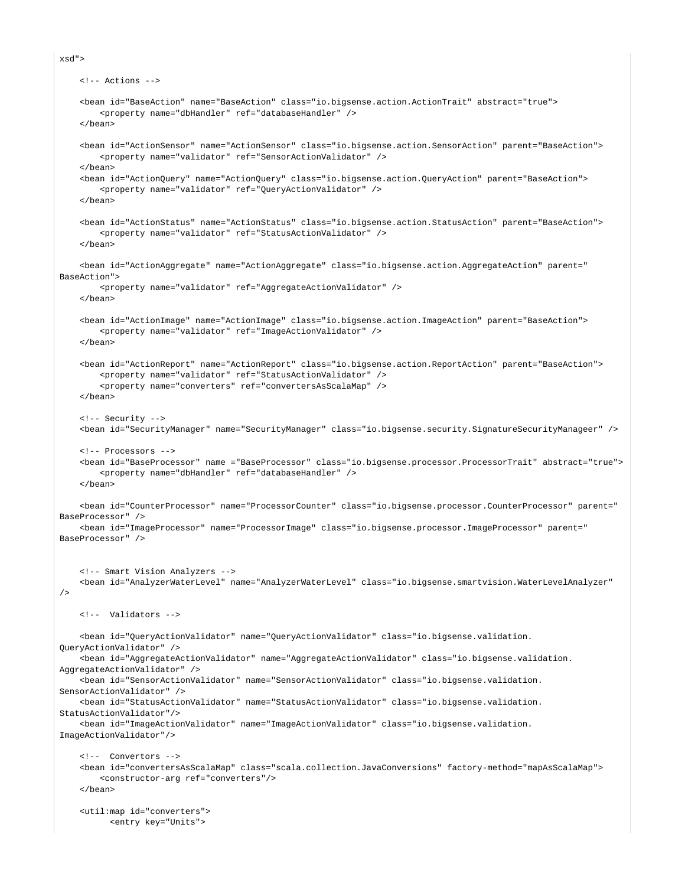```
 <!-- Actions -->
    <bean id="BaseAction" name="BaseAction" class="io.bigsense.action.ActionTrait" abstract="true">
        <property name="dbHandler" ref="databaseHandler" />
     </bean>
    <bean id="ActionSensor" name="ActionSensor" class="io.bigsense.action.SensorAction" parent="BaseAction">
        <property name="validator" ref="SensorActionValidator" /> 
     </bean>
    <bean id="ActionQuery" name="ActionQuery" class="io.bigsense.action.QueryAction" parent="BaseAction">
        <property name="validator" ref="QueryActionValidator" />
     </bean>
     <bean id="ActionStatus" name="ActionStatus" class="io.bigsense.action.StatusAction" parent="BaseAction">
        <property name="validator" ref="StatusActionValidator" />
     </bean>
     <bean id="ActionAggregate" name="ActionAggregate" class="io.bigsense.action.AggregateAction" parent="
BaseAction">
         <property name="validator" ref="AggregateActionValidator" />
    </bean>
    <bean id="ActionImage" name="ActionImage" class="io.bigsense.action.ImageAction" parent="BaseAction">
        <property name="validator" ref="ImageActionValidator" />
     </bean>
     <bean id="ActionReport" name="ActionReport" class="io.bigsense.action.ReportAction" parent="BaseAction">
        <property name="validator" ref="StatusActionValidator" />
        <property name="converters" ref="convertersAsScalaMap" />
    </bean>
    <!-- Security -->
    <bean id="SecurityManager" name="SecurityManager" class="io.bigsense.security.SignatureSecurityManageer" />
    <!-- Processors --> 
    <bean id="BaseProcessor" name ="BaseProcessor" class="io.bigsense.processor.ProcessorTrait" abstract="true">
        <property name="dbHandler" ref="databaseHandler" />
     </bean>
    <bean id="CounterProcessor" name="ProcessorCounter" class="io.bigsense.processor.CounterProcessor" parent="
BaseProcessor" />
    <bean id="ImageProcessor" name="ProcessorImage" class="io.bigsense.processor.ImageProcessor" parent="
BaseProcessor" />
    <!-- Smart Vision Analyzers -->
    <bean id="AnalyzerWaterLevel" name="AnalyzerWaterLevel" class="io.bigsense.smartvision.WaterLevelAnalyzer" 
/>
    <!-- Validators -->
    <bean id="QueryActionValidator" name="QueryActionValidator" class="io.bigsense.validation.
QueryActionValidator" />
    <bean id="AggregateActionValidator" name="AggregateActionValidator" class="io.bigsense.validation.
AggregateActionValidator" />
    <bean id="SensorActionValidator" name="SensorActionValidator" class="io.bigsense.validation.
SensorActionValidator" />
     <bean id="StatusActionValidator" name="StatusActionValidator" class="io.bigsense.validation.
StatusActionValidator"/>
    <bean id="ImageActionValidator" name="ImageActionValidator" class="io.bigsense.validation.
ImageActionValidator"/>
     <!-- Convertors -->
    <bean id="convertersAsScalaMap" class="scala.collection.JavaConversions" factory-method="mapAsScalaMap">
        <constructor-arg ref="converters"/>
    </bean>
    <util:map id="converters">
           <entry key="Units">
```
xsd">